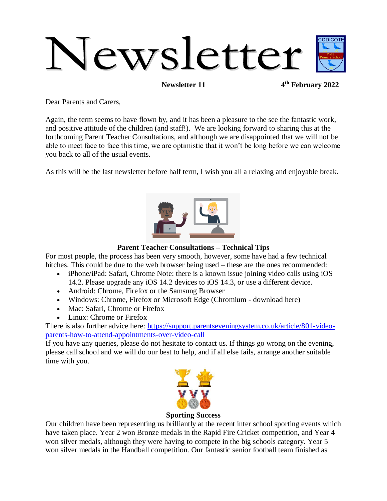# Newsletter

**Newsletter 11** 

**th February 2022**

Dear Parents and Carers,

Again, the term seems to have flown by, and it has been a pleasure to the see the fantastic work, and positive attitude of the children (and staff!). We are looking forward to sharing this at the forthcoming Parent Teacher Consultations, and although we are disappointed that we will not be able to meet face to face this time, we are optimistic that it won't be long before we can welcome you back to all of the usual events.

As this will be the last newsletter before half term, I wish you all a relaxing and enjoyable break.



# **Parent Teacher Consultations – Technical Tips**

For most people, the process has been very smooth, however, some have had a few technical hitches. This could be due to the web browser being used – these are the ones recommended:

- iPhone/iPad: Safari, Chrome Note: there is a known issue joining video calls using iOS 14.2. Please upgrade any iOS 14.2 devices to iOS 14.3, or use a different device.
- Android: Chrome, Firefox or the Samsung Browser
- Windows: Chrome, Firefox or Microsoft Edge (Chromium download here)
- Mac: Safari, Chrome or Firefox
- Linux: Chrome or Firefox

There is also further advice here: [https://support.parentseveningsystem.co.uk/article/801-video](https://support.parentseveningsystem.co.uk/article/801-video-parents-how-to-attend-appointments-over-video-call)[parents-how-to-attend-appointments-over-video-call](https://support.parentseveningsystem.co.uk/article/801-video-parents-how-to-attend-appointments-over-video-call)

If you have any queries, please do not hesitate to contact us. If things go wrong on the evening, please call school and we will do our best to help, and if all else fails, arrange another suitable time with you.



**Sporting Success**

Our children have been representing us brilliantly at the recent inter school sporting events which have taken place. Year 2 won Bronze medals in the Rapid Fire Cricket competition, and Year 4 won silver medals, although they were having to compete in the big schools category. Year 5 won silver medals in the Handball competition. Our fantastic senior football team finished as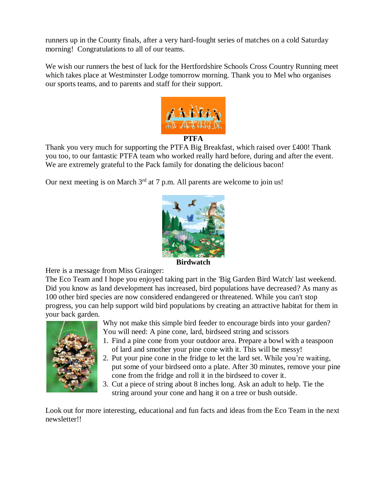runners up in the County finals, after a very hard-fought series of matches on a cold Saturday morning! Congratulations to all of our teams.

We wish our runners the best of luck for the Hertfordshire Schools Cross Country Running meet which takes place at Westminster Lodge tomorrow morning. Thank you to Mel who organises our sports teams, and to parents and staff for their support.



# **PTFA**

Thank you very much for supporting the PTFA Big Breakfast, which raised over £400! Thank you too, to our fantastic PTFA team who worked really hard before, during and after the event. We are extremely grateful to the Pack family for donating the delicious bacon!

Our next meeting is on March  $3<sup>rd</sup>$  at 7 p.m. All parents are welcome to join us!



**Birdwatch**

Here is a message from Miss Grainger:

The Eco Team and I hope you enjoyed taking part in the 'Big Garden Bird Watch' last weekend. Did you know as land development has increased, bird populations have decreased? As many as 100 other bird species are now considered endangered or threatened. While you can't stop progress, you can help support wild bird populations by creating an attractive habitat for them in your back garden.



- Why not make this simple bird feeder to encourage birds into your garden? You will need: A pine cone, lard, birdseed string and scissors
- 1. Find a pine cone from your outdoor area. Prepare a bowl with a teaspoon of lard and smother your pine cone with it. This will be messy!
- 2. Put your pine cone in the fridge to let the lard set. While you're waiting, put some of your birdseed onto a plate. After 30 minutes, remove your pine cone from the fridge and roll it in the birdseed to cover it.
- 3. Cut a piece of string about 8 inches long. Ask an adult to help. Tie the string around your cone and hang it on a tree or bush outside.

Look out for more interesting, educational and fun facts and ideas from the Eco Team in the next newsletter!!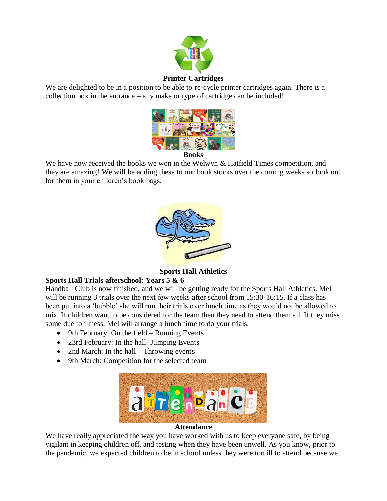

## **Printer Cartridges**

We are delighted to be in a position to be able to re-cycle printer cartridges again. There is a collection box in the entrance – any make or type of cartridge can be included!



**Books**

We have now received the books we won in the Welwyn & Hatfield Times competition, and they are amazing! We will be adding these to our book stocks over the coming weeks so look out for them in your children's book bags.



**Sports Hall Athletics**

# **Sports Hall Trials afterschool: Years 5 & 6**

Handball Club is now finished, and we will be getting ready for the Sports Hall Athletics. Mel will be running 3 trials over the next few weeks after school from 15:30-16:15. If a class has been put into a 'bubble' she will run their trials over lunch time as they would not be allowed to mix. If children want to be considered for the team then they need to attend them all. If they miss some due to illness, Mel will arrange a lunch time to do your trials.

- $\bullet$  9th February: On the field Running Events
- 23rd February: In the hall- Jumping Events
- 2nd March: In the hall Throwing events
- 9th March: Competition for the selected team



### **Attendance**

We have really appreciated the way you have worked with us to keep everyone safe, by being vigilant in keeping children off, and testing when they have been unwell. As you know, prior to the pandemic, we expected children to be in school unless they were too ill to attend because we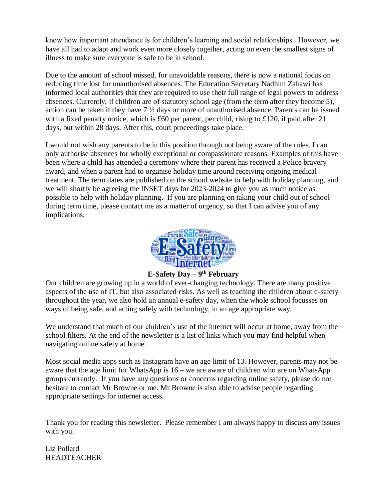know how important attendance is for children's learning and social relationships. However, we have all had to adapt and work even more closely together, acting on even the smallest signs of illness to make sure everyone is safe to be in school.

Due to the amount of school missed, for unavoidable reasons, there is now a national focus on reducing time lost for unauthorised absences. The Education Secretary Nadhim Zahawi has informed local authorities that they are required to use their full range of legal powers to address absences. Currently, if children are of statutory school age (from the term after they become 5), action can be taken if they have 7 ½ days or more of unauthorised absence. Parents can be issued with a fixed penalty notice, which is £60 per parent, per child, rising to £120, if paid after 21 days, but within 28 days. After this, court proceedings take place.

I would not wish any parents to be in this position through not being aware of the rules. I can only authorise absences for wholly exceptional or compassionate reasons. Examples of this have been where a child has attended a ceremony where their parent has received a Police bravery award, and when a parent had to organise holiday time around receiving ongoing medical treatment. The term dates are published on the school website to help with holiday planning, and we will shortly be agreeing the INSET days for 2023-2024 to give you as much notice as possible to help with holiday planning. If you are planning on taking your child out of school during term time, please contact me as a matter of urgency, so that I can advise you of any implications.



**E-Safety Day – 9 th February**

Our children are growing up in a world of ever-changing technology. There are many positive aspects of the use of IT, but also associated risks. As well as teaching the children about e-safety throughout the year, we also hold an annual e-safety day, when the whole school focusses on ways of being safe, and acting safely with technology, in an age appropriate way.

We understand that much of our children's use of the internet will occur at home, away from the school filters. At the end of the newsletter is a list of links which you may find helpful when navigating online safety at home.

Most social media apps such as Instagram have an age limit of 13. However, parents may not be aware that the age limit for WhatsApp is 16 – we are aware of children who are on WhatsApp groups currently. If you have any questions or concerns regarding online safety, please do not hesitate to contact Mr Browne or me. Mr Browne is also able to advise people regarding appropriate settings for internet access.

Thank you for reading this newsletter. Please remember I am always happy to discuss any issues with you.

Liz Pollard HEADTEACHER